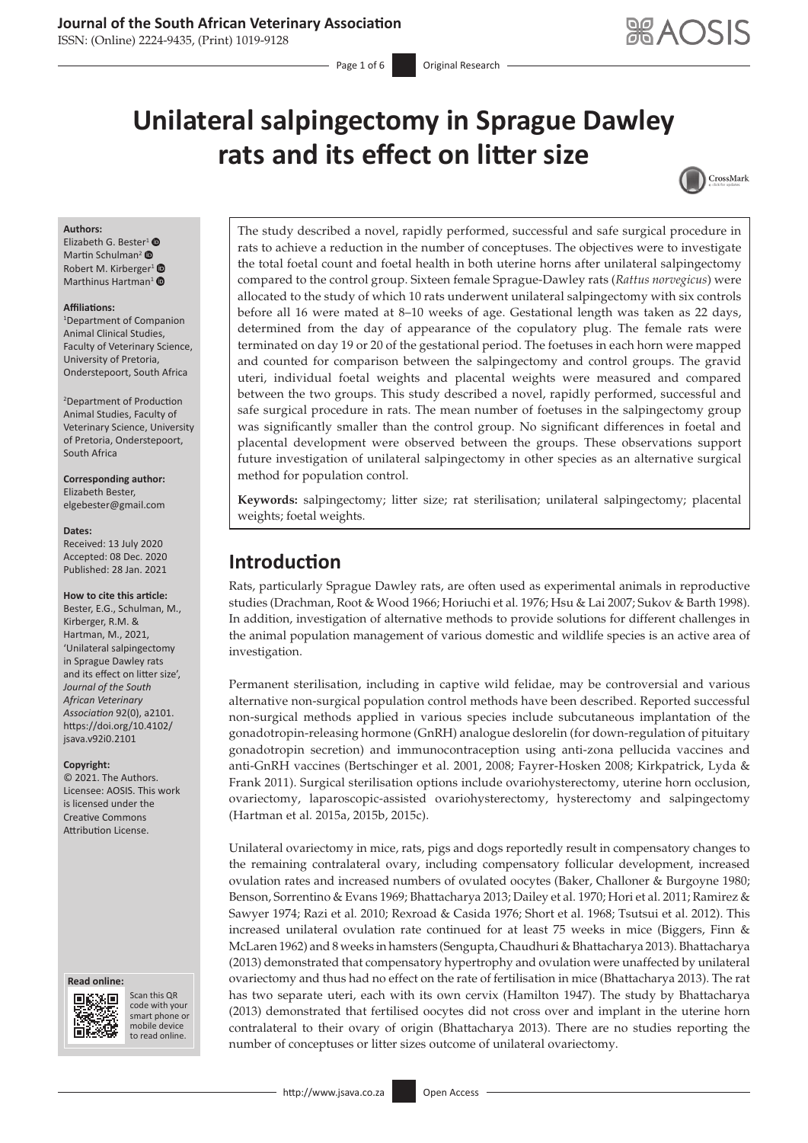## **Journal of the South African Veterinary Association**

ISSN: (Online) 2224-9435, (Print) 1019-9128

# **Unilateral salpingectomy in Sprague Dawley rats and its effect on litter size**



#### **Authors:**

Elizabeth G. Beste[r](https://orcid.org/0000-0003-0285-8679)<sup>[1](https://orcid.org/0000-0003-0471-3326)</sup> $\bullet$ Martin Schulman<sup>2</sup> <sup>O</sup> Robert M. Kirberger<sup>1</sup> <sup>®</sup> Marthinus Hartman<sup>[1](https://orcid.org/0000-0001-8856-2363)</sup>  $\bullet$ 

#### **Affiliations:**

1 Department of Companion Animal Clinical Studies, Faculty of Veterinary Science, University of Pretoria, Onderstepoort, South Africa

2 Department of Production Animal Studies, Faculty of Veterinary Science, University of Pretoria, Onderstepoort, South Africa

#### **Corresponding author:** Elizabeth Bester, [elgebester@gmail.com](mailto:elgebester@gmail.com)

#### **Dates:**

Received: 13 July 2020 Accepted: 08 Dec. 2020 Published: 28 Jan. 2021

#### **How to cite this article:**

Bester, E.G., Schulman, M., Kirberger, R.M. & Hartman, M., 2021, 'Unilateral salpingectomy in Sprague Dawley rats and its effect on litter size', *Journal of the South African Veterinary Association* 92(0), a2101. [https://doi.org/10.4102/](https://doi.org/10.4102/jsava.v92i0.2101) [jsava.v92i0.2101](https://doi.org/10.4102/jsava.v92i0.2101)

#### **Copyright:**

© 2021. The Authors. Licensee: AOSIS. This work is licensed under the Creative Commons Attribution License.

#### **Read online: Read online:**



Scan this QR code with your Scan this QR<br>code with your<br>smart phone or<br>mobile device mobile device to read online. to read online.

The study described a novel, rapidly performed, successful and safe surgical procedure in rats to achieve a reduction in the number of conceptuses. The objectives were to investigate the total foetal count and foetal health in both uterine horns after unilateral salpingectomy compared to the control group. Sixteen female Sprague-Dawley rats (*Rattus norvegicus*) were allocated to the study of which 10 rats underwent unilateral salpingectomy with six controls before all 16 were mated at 8–10 weeks of age. Gestational length was taken as 22 days, determined from the day of appearance of the copulatory plug. The female rats were terminated on day 19 or 20 of the gestational period. The foetuses in each horn were mapped and counted for comparison between the salpingectomy and control groups. The gravid uteri, individual foetal weights and placental weights were measured and compared between the two groups. This study described a novel, rapidly performed, successful and safe surgical procedure in rats. The mean number of foetuses in the salpingectomy group was significantly smaller than the control group. No significant differences in foetal and placental development were observed between the groups. These observations support future investigation of unilateral salpingectomy in other species as an alternative surgical method for population control.

**Keywords:** salpingectomy; litter size; rat sterilisation; unilateral salpingectomy; placental weights; foetal weights.

# **Introduction**

Rats, particularly Sprague Dawley rats, are often used as experimental animals in reproductive studies (Drachman, Root & Wood 1966; Horiuchi et al. 1976; Hsu & Lai 2007; Sukov & Barth 1998). In addition, investigation of alternative methods to provide solutions for different challenges in the animal population management of various domestic and wildlife species is an active area of investigation.

Permanent sterilisation, including in captive wild felidae, may be controversial and various alternative non-surgical population control methods have been described. Reported successful non-surgical methods applied in various species include subcutaneous implantation of the gonadotropin-releasing hormone (GnRH) analogue deslorelin (for down-regulation of pituitary gonadotropin secretion) and immunocontraception using anti-zona pellucida vaccines and anti-GnRH vaccines (Bertschinger et al. 2001, 2008; Fayrer-Hosken 2008; Kirkpatrick, Lyda & Frank 2011). Surgical sterilisation options include ovariohysterectomy, uterine horn occlusion, ovariectomy, laparoscopic-assisted ovariohysterectomy, hysterectomy and salpingectomy (Hartman et al*.* 2015a, 2015b, 2015c).

Unilateral ovariectomy in mice, rats, pigs and dogs reportedly result in compensatory changes to the remaining contralateral ovary, including compensatory follicular development, increased ovulation rates and increased numbers of ovulated oocytes (Baker, Challoner & Burgoyne 1980; Benson, Sorrentino & Evans 1969; Bhattacharya 2013; Dailey et al. 1970; Hori et al. 2011; Ramirez & Sawyer 1974; Razi et al*.* 2010; Rexroad & Casida 1976; Short et al. 1968; Tsutsui et al. 2012). This increased unilateral ovulation rate continued for at least 75 weeks in mice (Biggers, Finn & McLaren 1962) and 8 weeks in hamsters (Sengupta, Chaudhuri & Bhattacharya 2013). Bhattacharya (2013) demonstrated that compensatory hypertrophy and ovulation were unaffected by unilateral ovariectomy and thus had no effect on the rate of fertilisation in mice (Bhattacharya 2013). The rat has two separate uteri, each with its own cervix (Hamilton 1947). The study by Bhattacharya (2013) demonstrated that fertilised oocytes did not cross over and implant in the uterine horn contralateral to their ovary of origin (Bhattacharya 2013). There are no studies reporting the number of conceptuses or litter sizes outcome of unilateral ovariectomy.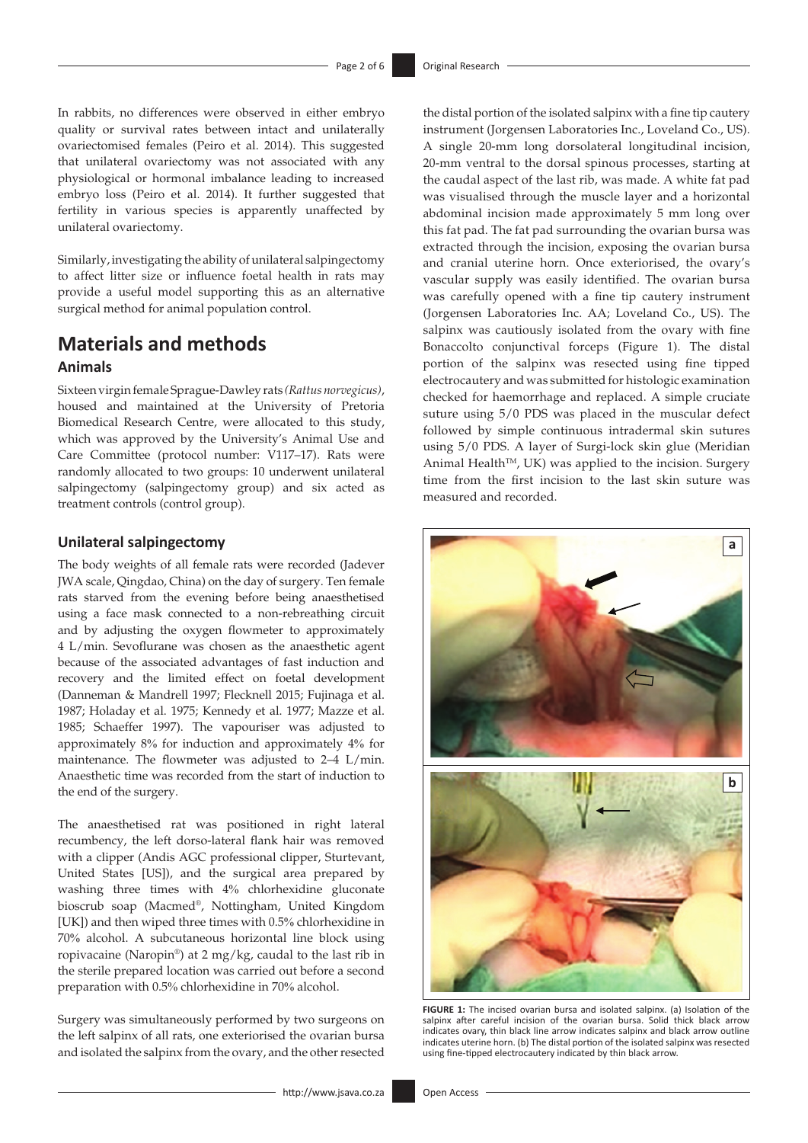In rabbits, no differences were observed in either embryo quality or survival rates between intact and unilaterally ovariectomised females (Peiro et al. 2014). This suggested that unilateral ovariectomy was not associated with any physiological or hormonal imbalance leading to increased embryo loss (Peiro et al. 2014). It further suggested that fertility in various species is apparently unaffected by unilateral ovariectomy.

Similarly, investigating the ability of unilateral salpingectomy to affect litter size or influence foetal health in rats may provide a useful model supporting this as an alternative surgical method for animal population control.

# **Materials and methods Animals**

Sixteen virgin female Sprague-Dawley rats *(Rattus norvegicus)*, housed and maintained at the University of Pretoria Biomedical Research Centre, were allocated to this study, which was approved by the University's Animal Use and Care Committee (protocol number: V117–17). Rats were randomly allocated to two groups: 10 underwent unilateral salpingectomy (salpingectomy group) and six acted as treatment controls (control group).

### **Unilateral salpingectomy**

The body weights of all female rats were recorded (Jadever JWA scale, Qingdao, China) on the day of surgery. Ten female rats starved from the evening before being anaesthetised using a face mask connected to a non-rebreathing circuit and by adjusting the oxygen flowmeter to approximately 4 L/min. Sevoflurane was chosen as the anaesthetic agent because of the associated advantages of fast induction and recovery and the limited effect on foetal development (Danneman & Mandrell 1997; Flecknell 2015; Fujinaga et al. 1987; Holaday et al. 1975; Kennedy et al. 1977; Mazze et al. 1985; Schaeffer 1997). The vapouriser was adjusted to approximately 8% for induction and approximately 4% for maintenance. The flowmeter was adjusted to 2–4 L/min. Anaesthetic time was recorded from the start of induction to the end of the surgery.

The anaesthetised rat was positioned in right lateral recumbency, the left dorso-lateral flank hair was removed with a clipper (Andis AGC professional clipper, Sturtevant, United States [US]), and the surgical area prepared by washing three times with 4% chlorhexidine gluconate bioscrub soap (Macmed®, Nottingham, United Kingdom [UK]) and then wiped three times with 0.5% chlorhexidine in 70% alcohol. A subcutaneous horizontal line block using ropivacaine (Naropin®) at 2 mg/kg, caudal to the last rib in the sterile prepared location was carried out before a second preparation with 0.5% chlorhexidine in 70% alcohol.

Surgery was simultaneously performed by two surgeons on the left salpinx of all rats, one exteriorised the ovarian bursa and isolated the salpinx from the ovary, and the other resected

the distal portion of the isolated salpinx with a fine tip cautery instrument (Jorgensen Laboratories Inc., Loveland Co., US). A single 20-mm long dorsolateral longitudinal incision, 20-mm ventral to the dorsal spinous processes, starting at the caudal aspect of the last rib, was made. A white fat pad was visualised through the muscle layer and a horizontal abdominal incision made approximately 5 mm long over this fat pad. The fat pad surrounding the ovarian bursa was extracted through the incision, exposing the ovarian bursa and cranial uterine horn. Once exteriorised, the ovary's vascular supply was easily identified. The ovarian bursa was carefully opened with a fine tip cautery instrument (Jorgensen Laboratories Inc. AA; Loveland Co., US). The salpinx was cautiously isolated from the ovary with fine Bonaccolto conjunctival forceps (Figure 1). The distal portion of the salpinx was resected using fine tipped electrocautery and was submitted for histologic examination checked for haemorrhage and replaced. A simple cruciate suture using 5/0 PDS was placed in the muscular defect followed by simple continuous intradermal skin sutures using 5/0 PDS. A layer of Surgi-lock skin glue (Meridian Animal Health™, UK) was applied to the incision. Surgery time from the first incision to the last skin suture was measured and recorded.



FIGURE 1: The incised ovarian bursa and isolated salpinx. (a) Isolation of the salpinx after careful incision of the ovarian bursa. Solid thick black arrow indicates ovary, thin black line arrow indicates salpinx and black arrow outline indicates uterine horn. (b) The distal portion of the isolated salpinx was resected using fine-tipped electrocautery indicated by thin black arrow.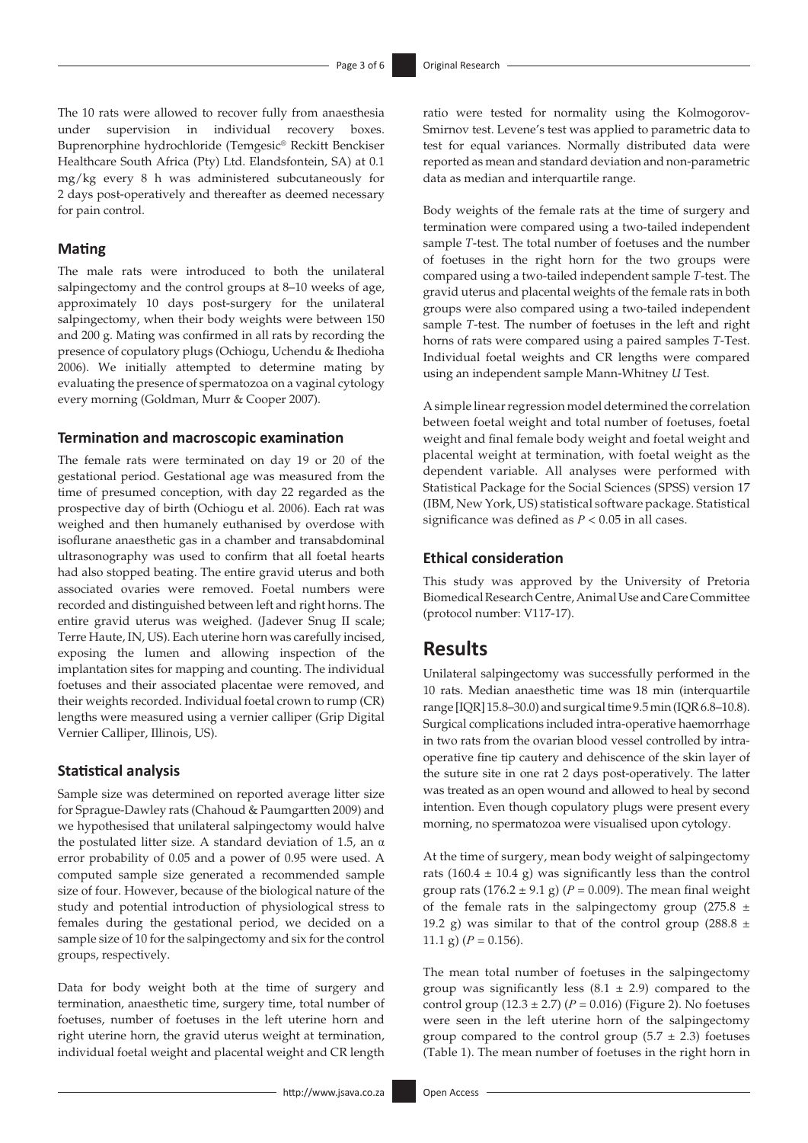The 10 rats were allowed to recover fully from anaesthesia under supervision in individual recovery boxes. Buprenorphine hydrochloride (Temgesic® Reckitt Benckiser Healthcare South Africa (Pty) Ltd. Elandsfontein, SA) at 0.1 mg/kg every 8 h was administered subcutaneously for 2 days post-operatively and thereafter as deemed necessary for pain control.

### **Mating**

The male rats were introduced to both the unilateral salpingectomy and the control groups at 8–10 weeks of age, approximately 10 days post-surgery for the unilateral salpingectomy, when their body weights were between 150 and 200 g. Mating was confirmed in all rats by recording the presence of copulatory plugs (Ochiogu, Uchendu & Ihedioha 2006). We initially attempted to determine mating by evaluating the presence of spermatozoa on a vaginal cytology every morning (Goldman, Murr & Cooper 2007).

### **Termination and macroscopic examination**

The female rats were terminated on day 19 or 20 of the gestational period. Gestational age was measured from the time of presumed conception, with day 22 regarded as the prospective day of birth (Ochiogu et al. 2006). Each rat was weighed and then humanely euthanised by overdose with isoflurane anaesthetic gas in a chamber and transabdominal ultrasonography was used to confirm that all foetal hearts had also stopped beating. The entire gravid uterus and both associated ovaries were removed. Foetal numbers were recorded and distinguished between left and right horns. The entire gravid uterus was weighed. (Jadever Snug II scale; Terre Haute, IN, US). Each uterine horn was carefully incised, exposing the lumen and allowing inspection of the implantation sites for mapping and counting. The individual foetuses and their associated placentae were removed, and their weights recorded. Individual foetal crown to rump (CR) lengths were measured using a vernier calliper (Grip Digital Vernier Calliper, Illinois, US).

#### **Statistical analysis**

Sample size was determined on reported average litter size for Sprague-Dawley rats (Chahoud & Paumgartten 2009) and we hypothesised that unilateral salpingectomy would halve the postulated litter size. A standard deviation of 1.5, an  $\alpha$ error probability of 0.05 and a power of 0.95 were used. A computed sample size generated a recommended sample size of four. However, because of the biological nature of the study and potential introduction of physiological stress to females during the gestational period, we decided on a sample size of 10 for the salpingectomy and six for the control groups, respectively.

Data for body weight both at the time of surgery and termination, anaesthetic time, surgery time, total number of foetuses, number of foetuses in the left uterine horn and right uterine horn, the gravid uterus weight at termination, individual foetal weight and placental weight and CR length

ratio were tested for normality using the Kolmogorov-Smirnov test. Levene's test was applied to parametric data to test for equal variances. Normally distributed data were reported as mean and standard deviation and non-parametric data as median and interquartile range.

Body weights of the female rats at the time of surgery and termination were compared using a two-tailed independent sample *T*-test. The total number of foetuses and the number of foetuses in the right horn for the two groups were compared using a two-tailed independent sample *T*-test. The gravid uterus and placental weights of the female rats in both groups were also compared using a two-tailed independent sample *T*-test. The number of foetuses in the left and right horns of rats were compared using a paired samples *T*-Test. Individual foetal weights and CR lengths were compared using an independent sample Mann-Whitney *U* Test.

A simple linear regression model determined the correlation between foetal weight and total number of foetuses, foetal weight and final female body weight and foetal weight and placental weight at termination, with foetal weight as the dependent variable. All analyses were performed with Statistical Package for the Social Sciences (SPSS) version 17 (IBM, New York, US) statistical software package. Statistical significance was defined as  $P < 0.05$  in all cases.

### **Ethical consideration**

This study was approved by the University of Pretoria Biomedical Research Centre, Animal Use and Care Committee (protocol number: V117-17).

# **Results**

Unilateral salpingectomy was successfully performed in the 10 rats. Median anaesthetic time was 18 min (interquartile range [IQR] 15.8–30.0) and surgical time 9.5 min (IQR 6.8–10.8). Surgical complications included intra-operative haemorrhage in two rats from the ovarian blood vessel controlled by intraoperative fine tip cautery and dehiscence of the skin layer of the suture site in one rat 2 days post-operatively. The latter was treated as an open wound and allowed to heal by second intention. Even though copulatory plugs were present every morning, no spermatozoa were visualised upon cytology.

At the time of surgery, mean body weight of salpingectomy rats (160.4  $\pm$  10.4 g) was significantly less than the control group rats  $(176.2 \pm 9.1 \text{ g})$  ( $P = 0.009$ ). The mean final weight of the female rats in the salpingectomy group (275.8  $\pm$ 19.2 g) was similar to that of the control group (288.8  $\pm$ 11.1 g)  $(P = 0.156)$ .

The mean total number of foetuses in the salpingectomy group was significantly less  $(8.1 \pm 2.9)$  compared to the control group  $(12.3 \pm 2.7)$   $(P = 0.016)$  (Figure 2). No foetuses were seen in the left uterine horn of the salpingectomy group compared to the control group  $(5.7 \pm 2.3)$  foetuses (Table 1). The mean number of foetuses in the right horn in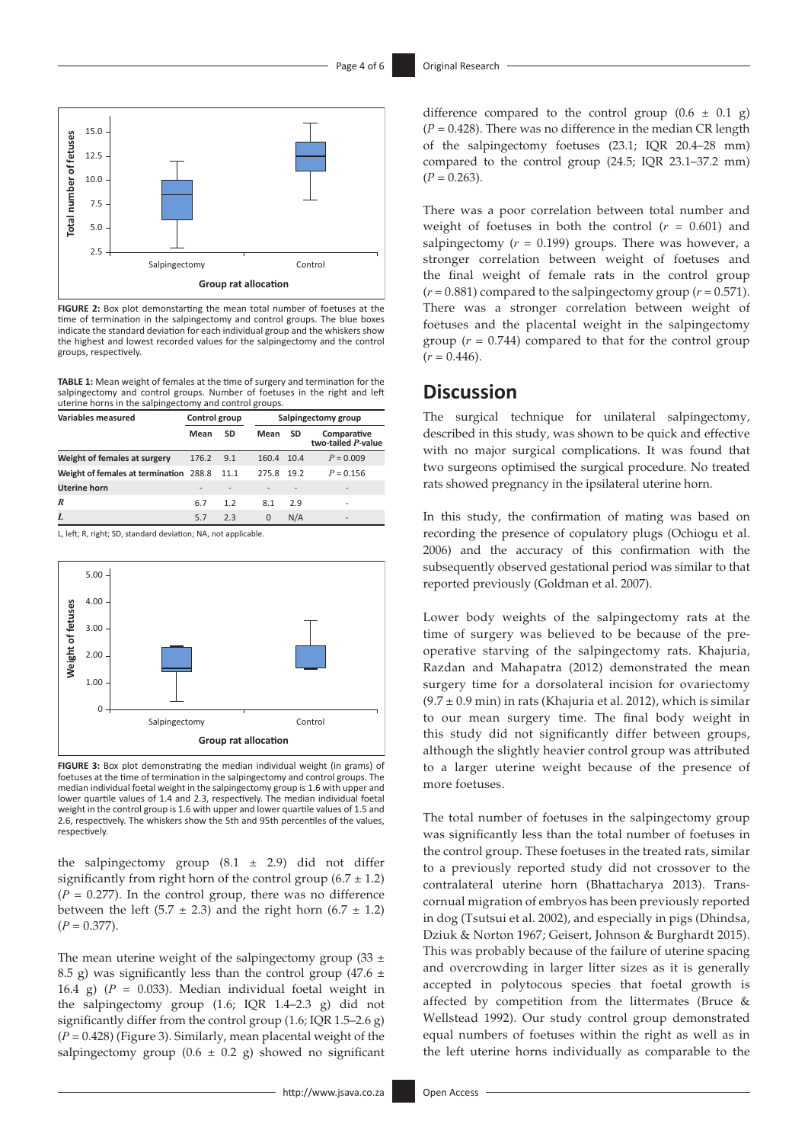

**FIGURE 2:** Box plot demonstarting the mean total number of foetuses at the time of termination in the salpingectomy and control groups. The blue boxes indicate the standard deviation for each individual group and the whiskers show the highest and lowest recorded values for the salpingectomy and the control groups, respectively.

**TABLE 1:** Mean weight of females at the time of surgery and termination for the salpingectomy and control groups. Number of foetuses in the right and left uterine horns in the salpingectomy and control groups.

| <b>Variables measured</b>              | Control group |                          |            | Salpingectomy group |                                   |  |
|----------------------------------------|---------------|--------------------------|------------|---------------------|-----------------------------------|--|
|                                        | Mean          | SD                       | Mean       | SD                  | Comparative<br>two-tailed P-value |  |
| Weight of females at surgery           | 176.2         | 9.1                      | 160.4      | 10.4                | $P = 0.009$                       |  |
| Weight of females at termination 288.8 |               | - 11.1                   | 275.8 19.2 |                     | $P = 0.156$                       |  |
| <b>Uterine horn</b>                    |               | $\overline{\phantom{a}}$ |            |                     |                                   |  |
| R                                      | 6.7           | 1.2                      | 8.1        | 2.9                 |                                   |  |
| L                                      | 5.7           | 2.3                      | 0          | N/A                 |                                   |  |

L, left; R, right; SD, standard deviation; NA, not applicable.



**FIGURE 3:** Box plot demonstrating the median individual weight (in grams) of foetuses at the time of termination in the salpingectomy and control groups. The median individual foetal weight in the salpingectomy group is 1.6 with upper and lower quartile values of 1.4 and 2.3, respectively. The median individual foetal weight in the control group is 1.6 with upper and lower quartile values of 1.5 and 2.6, respectively. The whiskers show the 5th and 95th percentiles of the values, respectively.

the salpingectomy group  $(8.1 \pm 2.9)$  did not differ significantly from right horn of the control group  $(6.7 \pm 1.2)$  $(P = 0.277)$ . In the control group, there was no difference between the left (5.7  $\pm$  2.3) and the right horn (6.7  $\pm$  1.2)  $(P = 0.377)$ .

The mean uterine weight of the salpingectomy group (33  $\pm$ 8.5 g) was significantly less than the control group (47.6  $\pm$ 16.4 g)  $(P = 0.033)$ . Median individual foetal weight in the salpingectomy group (1.6; IQR 1.4–2.3 g) did not significantly differ from the control group (1.6; IQR 1.5–2.6 g) (*P* = 0.428) (Figure 3). Similarly, mean placental weight of the salpingectomy group  $(0.6 \pm 0.2 \text{ g})$  showed no significant

There was a poor correlation between total number and weight of foetuses in both the control  $(r = 0.601)$  and salpingectomy  $(r = 0.199)$  groups. There was however, a stronger correlation between weight of foetuses and the final weight of female rats in the control group  $(r = 0.881)$  compared to the salping ectomy group  $(r = 0.571)$ . There was a stronger correlation between weight of foetuses and the placental weight in the salpingectomy group  $(r = 0.744)$  compared to that for the control group  $(r = 0.446)$ .

# **Discussion**

The surgical technique for unilateral salpingectomy, described in this study, was shown to be quick and effective with no major surgical complications. It was found that two surgeons optimised the surgical procedure. No treated rats showed pregnancy in the ipsilateral uterine horn.

In this study, the confirmation of mating was based on recording the presence of copulatory plugs (Ochiogu et al. 2006) and the accuracy of this confirmation with the subsequently observed gestational period was similar to that reported previously (Goldman et al. 2007).

Lower body weights of the salpingectomy rats at the time of surgery was believed to be because of the preoperative starving of the salpingectomy rats. Khajuria, Razdan and Mahapatra (2012) demonstrated the mean surgery time for a dorsolateral incision for ovariectomy  $(9.7 \pm 0.9 \text{ min})$  in rats (Khajuria et al. 2012), which is similar to our mean surgery time. The final body weight in this study did not significantly differ between groups, although the slightly heavier control group was attributed to a larger uterine weight because of the presence of more foetuses.

The total number of foetuses in the salpingectomy group was significantly less than the total number of foetuses in the control group. These foetuses in the treated rats, similar to a previously reported study did not crossover to the contralateral uterine horn (Bhattacharya 2013). Transcornual migration of embryos has been previously reported in dog (Tsutsui et al. 2002), and especially in pigs (Dhindsa, Dziuk & Norton 1967; Geisert, Johnson & Burghardt 2015). This was probably because of the failure of uterine spacing and overcrowding in larger litter sizes as it is generally accepted in polytocous species that foetal growth is affected by competition from the littermates (Bruce & Wellstead 1992). Our study control group demonstrated equal numbers of foetuses within the right as well as in the left uterine horns individually as comparable to the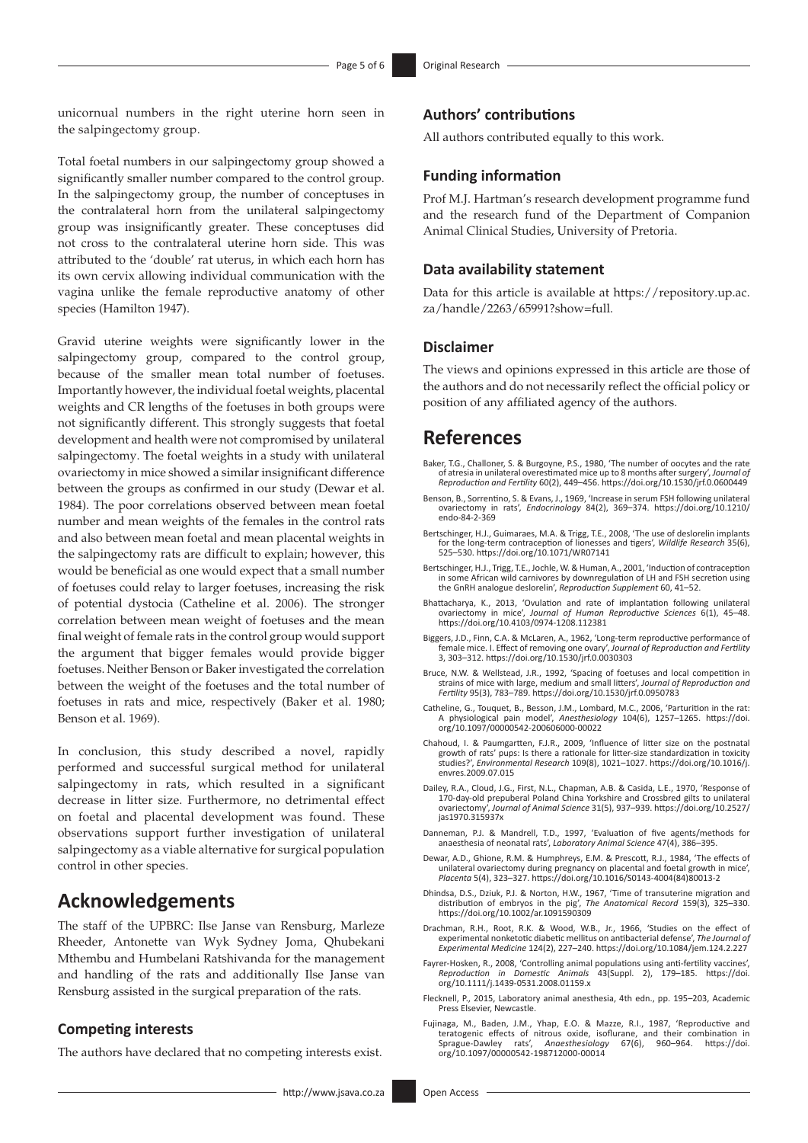unicornual numbers in the right uterine horn seen in the salpingectomy group.

Total foetal numbers in our salpingectomy group showed a significantly smaller number compared to the control group. In the salpingectomy group, the number of conceptuses in the contralateral horn from the unilateral salpingectomy group was insignificantly greater. These conceptuses did not cross to the contralateral uterine horn side. This was attributed to the 'double' rat uterus, in which each horn has its own cervix allowing individual communication with the vagina unlike the female reproductive anatomy of other species (Hamilton 1947).

Gravid uterine weights were significantly lower in the salpingectomy group, compared to the control group, because of the smaller mean total number of foetuses. Importantly however, the individual foetal weights, placental weights and CR lengths of the foetuses in both groups were not significantly different. This strongly suggests that foetal development and health were not compromised by unilateral salpingectomy. The foetal weights in a study with unilateral ovariectomy in mice showed a similar insignificant difference between the groups as confirmed in our study (Dewar et al. 1984). The poor correlations observed between mean foetal number and mean weights of the females in the control rats and also between mean foetal and mean placental weights in the salpingectomy rats are difficult to explain; however, this would be beneficial as one would expect that a small number of foetuses could relay to larger foetuses, increasing the risk of potential dystocia (Catheline et al. 2006). The stronger correlation between mean weight of foetuses and the mean final weight of female rats in the control group would support the argument that bigger females would provide bigger foetuses. Neither Benson or Baker investigated the correlation between the weight of the foetuses and the total number of foetuses in rats and mice, respectively (Baker et al. 1980; Benson et al. 1969).

In conclusion, this study described a novel, rapidly performed and successful surgical method for unilateral salpingectomy in rats, which resulted in a significant decrease in litter size. Furthermore, no detrimental effect on foetal and placental development was found. These observations support further investigation of unilateral salpingectomy as a viable alternative for surgical population control in other species.

# **Acknowledgements**

The staff of the UPBRC: Ilse Janse van Rensburg, Marleze Rheeder, Antonette van Wyk Sydney Joma, Qhubekani Mthembu and Humbelani Ratshivanda for the management and handling of the rats and additionally Ilse Janse van Rensburg assisted in the surgical preparation of the rats.

### **Competing interests**

The authors have declared that no competing interests exist.

### **Authors' contributions**

All authors contributed equally to this work.

### **Funding information**

Prof M.J. Hartman's research development programme fund and the research fund of the Department of Companion Animal Clinical Studies, University of Pretoria.

#### **Data availability statement**

Data for this article is available at [https://repository.up.ac.](https://repository.up.ac.za/handle/2263/65991?show=full) [za/handle/2263/65991?show=full.](https://repository.up.ac.za/handle/2263/65991?show=full)

### **Disclaimer**

The views and opinions expressed in this article are those of the authors and do not necessarily reflect the official policy or position of any affiliated agency of the authors.

# **References**

- Baker, T.G., Challoner, S. & Burgoyne, P.S., 1980, 'The number of oocytes and the rate of atresia in unilateral overestimated mice up to 8 months after surgery', *Journal of Reproduction and Fertility* 60(2), 449–456.<https://doi.org/10.1530/jrf.0.0600449>
- Benson, B., Sorrentino, S. & Evans, J., 1969, 'Increase in serum FSH following unilateral ovariectomy in rats', *Endocrinology* 84(2), 369–374. [https://doi.org/10.1210/](https://doi.org/10.1210/endo-84-2-369) [endo-84-2-369](https://doi.org/10.1210/endo-84-2-369)
- Bertschinger, H.J., Guimaraes, M.A. & Trigg, T.E., 2008, 'The use of deslorelin implants for the long-term contraception of lionesses and tigers', *Wildlife Research* 35(6), 525–530.<https://doi.org/10.1071/WR07141>
- Bertschinger, H.J., Trigg, T.E., Jochle, W. & Human, A., 2001, 'Induction of contraception in some African wild carnivores by downregulation of LH and FSH secretion using the GnRH analogue deslorelin', *Reproduction Supplement* 60, 41–52.
- Bhattacharya, K., 2013, 'Ovulation and rate of implantation following unilateral ovariectomy in mice', *Journal of Human Reproductive Sciences* 6(1), 45–48. <https://doi.org/10.4103/0974-1208.112381>
- Biggers, J.D., Finn, C.A. & McLaren, A., 1962, 'Long-term reproductive performance of female mice. I. Effect of removing one ovary', *Journal of Reproduction and Fertility* 3, 303–312.<https://doi.org/10.1530/jrf.0.0030303>
- Bruce, N.W. & Wellstead, J.R., 1992, 'Spacing of foetuses and local competition in strains of mice with large, medium and small litters', *Journal of Reproduction and Fertility* 95(3), 783–789. <https://doi.org/10.1530/jrf.0.0950783>
- Catheline, G., Touquet, B., Besson, J.M., Lombard, M.C., 2006, 'Parturition in the rat: A physiological pain model', *Anesthesiology* 104(6), 1257–1265. [https://doi.](https://doi.org/10.1097/00000542-200606000-00022) [org/10.1097/00000542-200606000-00022](https://doi.org/10.1097/00000542-200606000-00022)
- Chahoud, I. & Paumgartten, F.J.R., 2009, 'Influence of litter size on the postnatal growth of rats' pups: Is there a rationale for litter-size standardization in toxicity studies?', *Environmental Research* 109(8), 1021–1027. [https://doi.org/10.1016/j.](https://doi.org/10.1016/j.envres.2009.07.015) [envres.2009.07.015](https://doi.org/10.1016/j.envres.2009.07.015)
- Dailey, R.A., Cloud, J.G., First, N.L., Chapman, A.B. & Casida, L.E., 1970, 'Response of 170-day-old prepuberal Poland China Yorkshire and Crossbred gilts to unilateral ovariectomy', *Journal of Animal Science* 31(5), 937–939. [https://doi.org/10.2527/](https://doi.org/10.2527/jas1970.315937x) [jas1970.315937x](https://doi.org/10.2527/jas1970.315937x)
- Danneman, P.J. & Mandrell, T.D., 1997, 'Evaluation of five agents/methods for anaesthesia of neonatal rats', *Laboratory Animal Science* 47(4), 386–395.
- Dewar, A.D., Ghione, R.M. & Humphreys, E.M. & Prescott, R.J., 1984, 'The effects of unilateral ovariectomy during pregnancy on placental and foetal growth in mice', *Placenta* 5(4), 323–327. [https://doi.org/10.1016/S0143-4004\(84\)80013-2](https://doi.org/10.1016/S0143-4004(84)80013-2)
- Dhindsa, D.S., Dziuk, P.J. & Norton, H.W., 1967, 'Time of transuterine migration and distribution of embryos in the pig', *The Anatomical Record* 159(3), 325–330. <https://doi.org/10.1002/ar.1091590309>
- Drachman, R.H., Root, R.K. & Wood, W.B., Jr., 1966, 'Studies on the effect of experimental nonketotic diabetic mellitus on antibacterial defense', The Journal of Experimental Medicine 124(2), 227–240. https://doi.org/10.10
- Fayrer-Hosken, R., 2008, 'Controlling animal populations using anti-fertility vaccines', *Reproduction in Domestic Animals* 43(Suppl. 2), 179–185. [https://doi.](https://doi.org/10.1111/j.1439-0531.2008.01159.x) [org/10.1111/j.1439-0531.2008.01159.x](https://doi.org/10.1111/j.1439-0531.2008.01159.x)
- Flecknell, P., 2015, Laboratory animal anesthesia, 4th edn., pp. 195–203, Academic Press Elsevier, Newcastle.
- Fujinaga, M., Baden, J.M., Yhap, E.O. & Mazze, R.I., 1987, 'Reproductive and teratogenic effects of nitrous oxide, isoflurane, and their combination in Sprague-Dawley rats', *Anaesthesiology* 67(6), 960–964. [https://doi.](https://doi.org/10.1097/00000542-198712000-00014) [org/10.1097/00000542-198712000-00014](https://doi.org/10.1097/00000542-198712000-00014)